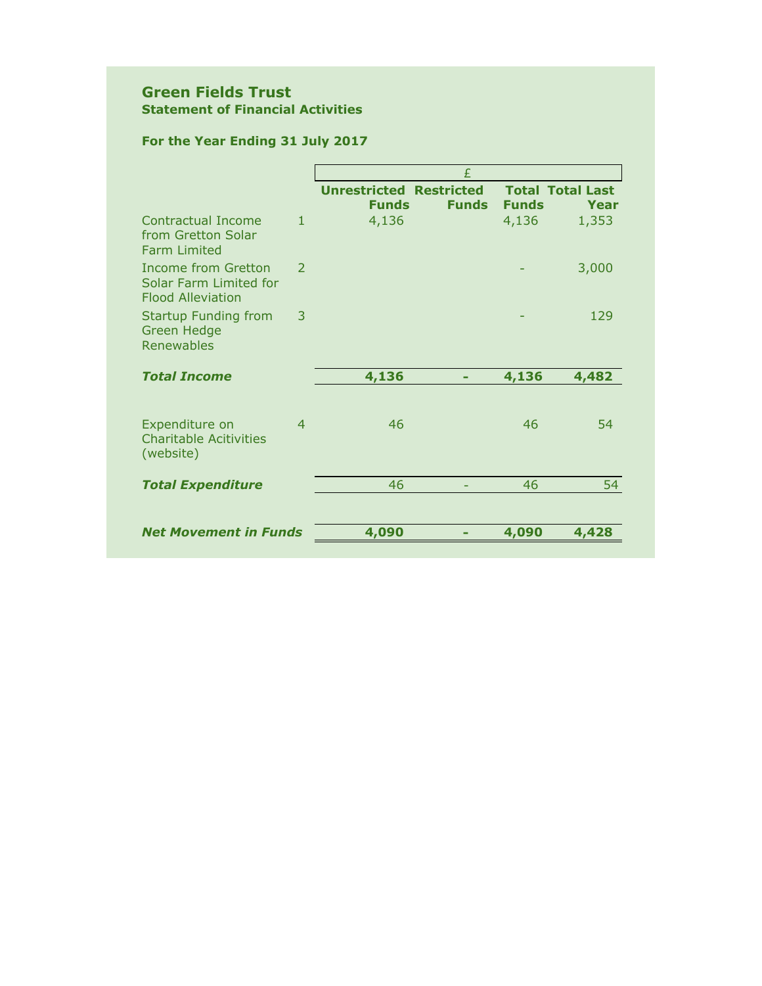## **Green Fields Trust Statement of Financial Activities**

# **For the Year Ending 31 July 2017**

|                                                                           |               | £                                                              |              |                                 |  |  |
|---------------------------------------------------------------------------|---------------|----------------------------------------------------------------|--------------|---------------------------------|--|--|
|                                                                           |               | <b>Unrestricted Restricted</b><br><b>Funds</b><br><b>Funds</b> | <b>Funds</b> | <b>Total Total Last</b><br>Year |  |  |
| <b>Contractual Income</b><br>from Gretton Solar<br><b>Farm Limited</b>    | $\mathbf{1}$  | 4,136                                                          | 4,136        | 1,353                           |  |  |
| Income from Gretton<br>Solar Farm Limited for<br><b>Flood Alleviation</b> | $\mathcal{P}$ |                                                                |              | 3,000                           |  |  |
| <b>Startup Funding from</b><br><b>Green Hedge</b><br><b>Renewables</b>    | 3             |                                                                |              | 129                             |  |  |
| <b>Total Income</b>                                                       |               | 4,136                                                          | 4,136        | 4,482                           |  |  |
| Expenditure on<br><b>Charitable Acitivities</b><br>(website)              | 4             | 46                                                             | 46           | 54                              |  |  |
| <b>Total Expenditure</b>                                                  |               | 46                                                             | 46           | 54                              |  |  |
|                                                                           |               |                                                                |              |                                 |  |  |
| <b>Net Movement in Funds</b>                                              |               | 4,090                                                          | 4,090        | 4,428                           |  |  |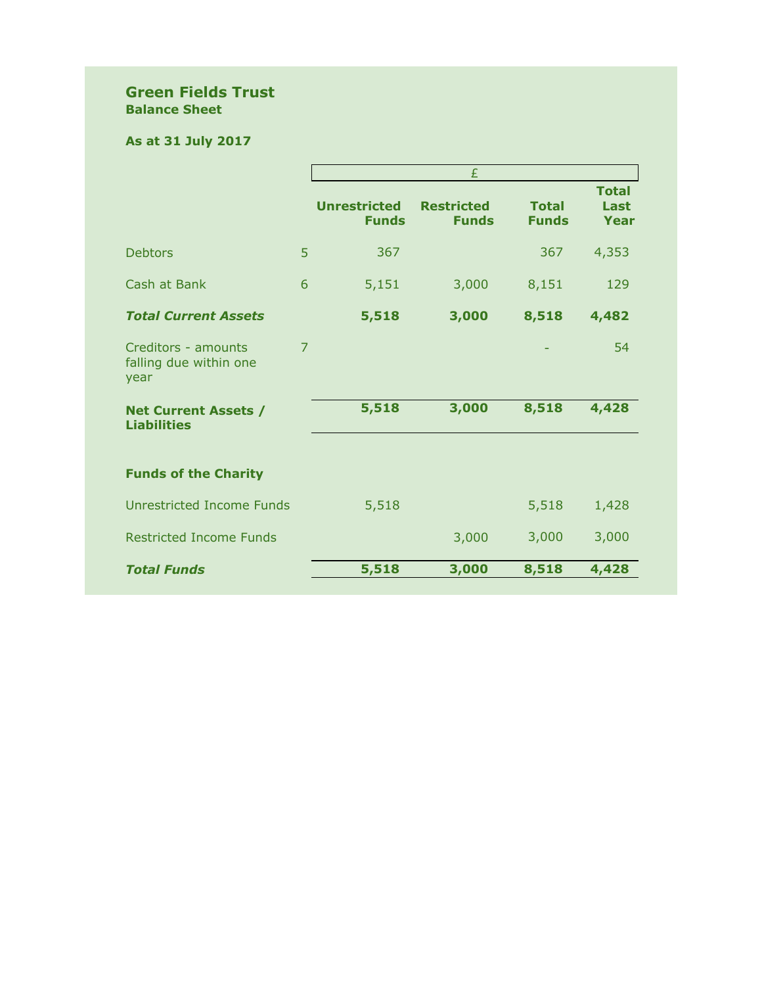## **Green Fields Trust Balance Sheet**

# **As at 31 July 2017**

|                                                       |   | £                            |                                   |                              |                              |  |
|-------------------------------------------------------|---|------------------------------|-----------------------------------|------------------------------|------------------------------|--|
|                                                       |   | Unrestricted<br><b>Funds</b> | <b>Restricted</b><br><b>Funds</b> | <b>Total</b><br><b>Funds</b> | <b>Total</b><br>Last<br>Year |  |
| <b>Debtors</b>                                        | 5 | 367                          |                                   | 367                          | 4,353                        |  |
| Cash at Bank                                          | 6 | 5,151                        | 3,000                             | 8,151                        | 129                          |  |
| <b>Total Current Assets</b>                           |   | 5,518                        | 3,000                             | 8,518                        | 4,482                        |  |
| Creditors - amounts<br>falling due within one<br>year | 7 |                              |                                   |                              | 54                           |  |
| <b>Net Current Assets /</b><br><b>Liabilities</b>     |   | 5,518                        | 3,000                             | 8,518                        | 4,428                        |  |
| <b>Funds of the Charity</b>                           |   |                              |                                   |                              |                              |  |
| Unrestricted Income Funds                             |   | 5,518                        |                                   | 5,518                        | 1,428                        |  |
| <b>Restricted Income Funds</b>                        |   |                              | 3,000                             | 3,000                        | 3,000                        |  |
| <b>Total Funds</b>                                    |   | 5,518                        | 3,000                             | 8,518                        | 4,428                        |  |